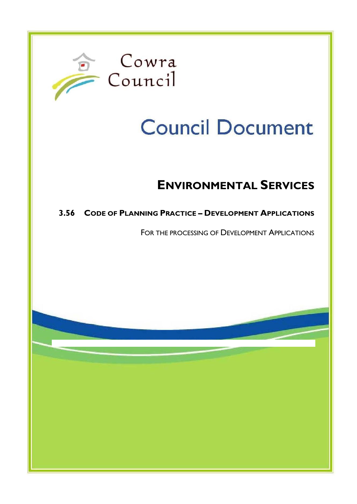

# **Council Document**

## **ENVIRONMENTAL SERVICES**

### **3.56 CODE OF PLANNING PRACTICE – DEVELOPMENT APPLICATIONS**

FOR THE PROCESSING OF DEVELOPMENT APPLICATIONS

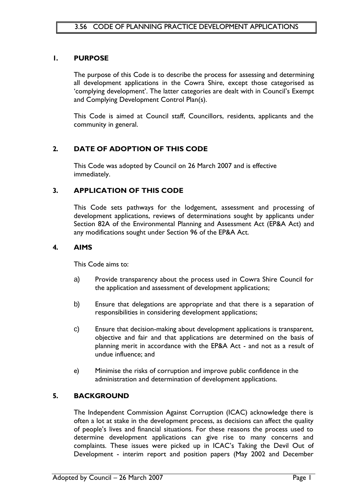#### **1. PURPOSE**

The purpose of this Code is to describe the process for assessing and determining all development applications in the Cowra Shire, except those categorised as 'complying development'. The latter categories are dealt with in Council's Exempt and Complying Development Control Plan(s).

This Code is aimed at Council staff, Councillors, residents, applicants and the community in general.

#### **2. DATE OF ADOPTION OF THIS CODE**

This Code was adopted by Council on 26 March 2007 and is effective immediately.

#### **3. APPLICATION OF THIS CODE**

This Code sets pathways for the lodgement, assessment and processing of development applications, reviews of determinations sought by applicants under Section 82A of the Environmental Planning and Assessment Act (EP&A Act) and any modifications sought under Section 96 of the EP&A Act.

#### **4. AIMS**

This Code aims to:

- a) Provide transparency about the process used in Cowra Shire Council for the application and assessment of development applications;
- b) Ensure that delegations are appropriate and that there is a separation of responsibilities in considering development applications;
- c) Ensure that decision-making about development applications is transparent, objective and fair and that applications are determined on the basis of planning merit in accordance with the EP&A Act - and not as a result of undue influence; and
- e) Minimise the risks of corruption and improve public confidence in the administration and determination of development applications.

#### **5. BACKGROUND**

The Independent Commission Against Corruption (ICAC) acknowledge there is often a lot at stake in the development process, as decisions can affect the quality of people"s lives and financial situations. For these reasons the process used to determine development applications can give rise to many concerns and complaints. These issues were picked up in ICAC"s Taking the Devil Out of Development - interim report and position papers (May 2002 and December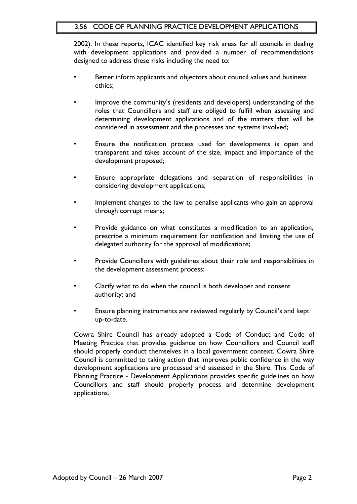#### 3.56 CODE OF PLANNING PRACTICE DEVELOPMENT APPLICATIONS

2002). In these reports, ICAC identified key risk areas for all councils in dealing with development applications and provided a number of recommendations designed to address these risks including the need to:

- Better inform applicants and objectors about council values and business ethics;
- Improve the community"s (residents and developers) understanding of the roles that Councillors and staff are obliged to fulfill when assessing and determining development applications and of the matters that will be considered in assessment and the processes and systems involved;
- Ensure the notification process used for developments is open and transparent and takes account of the size, impact and importance of the development proposed;
- Ensure appropriate delegations and separation of responsibilities in considering development applications;
- Implement changes to the law to penalise applicants who gain an approval through corrupt means;
- Provide guidance on what constitutes a modification to an application, prescribe a minimum requirement for notification and limiting the use of delegated authority for the approval of modifications;
- Provide Councillors with guidelines about their role and responsibilities in the development assessment process;
- Clarify what to do when the council is both developer and consent authority; and
- Ensure planning instruments are reviewed regularly by Council's and kept up-to-date.

Cowra Shire Council has already adopted a Code of Conduct and Code of Meeting Practice that provides guidance on how Councillors and Council staff should properly conduct themselves in a local government context. Cowra Shire Council is committed to taking action that improves public confidence in the way development applications are processed and assessed in the Shire. This Code of Planning Practice - Development Applications provides specific guidelines on how Councillors and staff should properly process and determine development applications.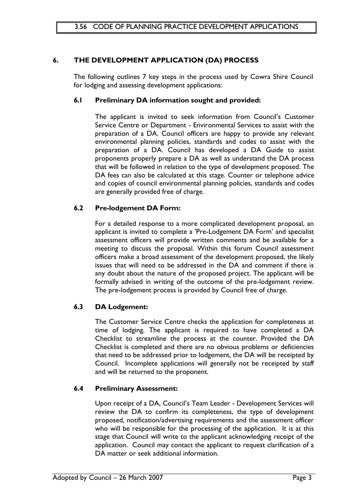#### **6. THE DEVELOPMENT APPLICATION (DA) PROCESS**

The following outlines 7 key steps in the process used by Cowra Shire Council for lodging and assessing development applications:

#### **6.1 Preliminary DA information sought and provided:**

The applicant is invited to seek information from Council's Customer Service Centre or Department - Environmental Services to assist with the preparation of a DA. Council officers are happy to provide any relevant environmental planning policies, standards and codes to assist with the preparation of a DA. Council has developed a DA Guide to assist proponents properly prepare a DA as well as understand the DA process that will be followed in relation to the type of development proposed. The DA fees can also be calculated at this stage. Counter or telephone advice and copies of council environmental planning policies, standards and codes are generally provided free of charge.

#### **6.2 Pre-lodgement DA Form:**

For a detailed response to a more complicated development proposal, an applicant is invited to complete a 'Pre-Lodgement DA Form" and specialist assessment officers will provide written comments and be available for a meeting to discuss the proposal. Within this forum Council assessment officers make a broad assessment of the development proposed, the likely issues that will need to be addressed in the DA and comment if there is any doubt about the nature of the proposed project. The applicant will be formally advised in writing of the outcome of the pre-lodgement review. The pre-lodgement process is provided by Council free of charge.

#### **6.3 DA Lodgement:**

The Customer Service Centre checks the application for completeness at time of lodging. The applicant is required to have completed a DA Checklist to streamline the process at the counter. Provided the DA Checklist is completed and there are no obvious problems or deficiencies that need to be addressed prior to lodgement, the DA will be receipted by Council. Incomplete applications will generally not be receipted by staff and will be returned to the proponent.

#### **6.4 Preliminary Assessment:**

Upon receipt of a DA, Council"s Team Leader - Development Services will review the DA to confirm its completeness, the type of development proposed, notification/advertising requirements and the assessment officer who will be responsible for the processing of the application. It is at this stage that Council will write to the applicant acknowledging receipt of the application. Council may contact the applicant to request clarification of a DA matter or seek additional information.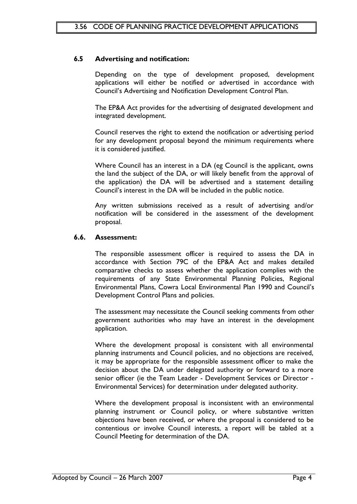#### **6.5 Advertising and notification:**

Depending on the type of development proposed, development applications will either be notified or advertised in accordance with Council"s Advertising and Notification Development Control Plan.

The EP&A Act provides for the advertising of designated development and integrated development.

Council reserves the right to extend the notification or advertising period for any development proposal beyond the minimum requirements where it is considered justified.

Where Council has an interest in a DA (eg Council is the applicant, owns the land the subject of the DA, or will likely benefit from the approval of the application) the DA will be advertised and a statement detailing Council"s interest in the DA will be included in the public notice.

Any written submissions received as a result of advertising and/or notification will be considered in the assessment of the development proposal.

#### **6.6. Assessment:**

The responsible assessment officer is required to assess the DA in accordance with Section 79C of the EP&A Act and makes detailed comparative checks to assess whether the application complies with the requirements of any State Environmental Planning Policies, Regional Environmental Plans, Cowra Local Environmental Plan 1990 and Council"s Development Control Plans and policies.

The assessment may necessitate the Council seeking comments from other government authorities who may have an interest in the development application.

Where the development proposal is consistent with all environmental planning instruments and Council policies, and no objections are received, it may be appropriate for the responsible assessment officer to make the decision about the DA under delegated authority or forward to a more senior officer (ie the Team Leader - Development Services or Director - Environmental Services) for determination under delegated authority.

Where the development proposal is inconsistent with an environmental planning instrument or Council policy, or where substantive written objections have been received, or where the proposal is considered to be contentious or involve Council interests, a report will be tabled at a Council Meeting for determination of the DA.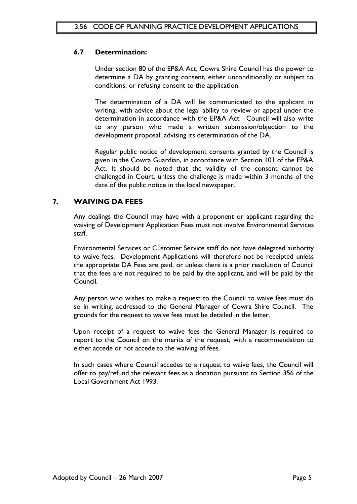#### **6.7 Determination:**

Under section 80 of the EP&A Act, Cowra Shire Council has the power to determine a DA by granting consent, either unconditionally or subject to conditions, or refusing consent to the application.

The determination of a DA will be communicated to the applicant in writing, with advice about the legal ability to review or appeal under the determination in accordance with the EP&A Act. Council will also write to any person who made a written submission/objection to the development proposal, advising its determination of the DA.

Regular public notice of development consents granted by the Council is given in the Cowra Guardian, in accordance with Section 101 of the EP&A Act. It should be noted that the validity of the consent cannot be challenged in Court, unless the challenge is made within 3 months of the date of the public notice in the local newspaper.

#### **7. WAIVING DA FEES**

Any dealings the Council may have with a proponent or applicant regarding the waiving of Development Application Fees must not involve Environmental Services staff.

Environmental Services or Customer Service staff do not have delegated authority to waive fees. Development Applications will therefore not be receipted unless the appropriate DA Fees are paid, or unless there is a prior resolution of Council that the fees are not required to be paid by the applicant, and will be paid by the Council.

Any person who wishes to make a request to the Council to waive fees must do so in writing, addressed to the General Manager of Cowra Shire Council. The grounds for the request to waive fees must be detailed in the letter.

Upon receipt of a request to waive fees the General Manager is required to report to the Council on the merits of the request, with a recommendation to either accede or not accede to the waiving of fees.

In such cases where Council accedes to a request to waive fees, the Council will offer to pay/refund the relevant fees as a donation pursuant to Section 356 of the Local Government Act 1993.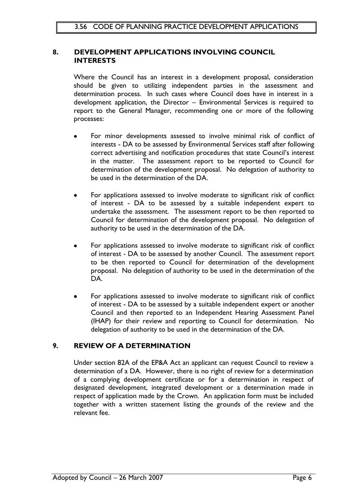#### **8. DEVELOPMENT APPLICATIONS INVOLVING COUNCIL INTERESTS**

Where the Council has an interest in a development proposal, consideration should be given to utilizing independent parties in the assessment and determination process. In such cases where Council does have in interest in a development application, the Director – Environmental Services is required to report to the General Manager, recommending one or more of the following processes:

- For minor developments assessed to involve minimal risk of conflict of interests - DA to be assessed by Environmental Services staff after following correct advertising and notification procedures that state Council"s interest in the matter. The assessment report to be reported to Council for determination of the development proposal. No delegation of authority to be used in the determination of the DA.
- For applications assessed to involve moderate to significant risk of conflict of interest - DA to be assessed by a suitable independent expert to undertake the assessment. The assessment report to be then reported to Council for determination of the development proposal. No delegation of authority to be used in the determination of the DA.
- For applications assessed to involve moderate to significant risk of conflict of interest - DA to be assessed by another Council. The assessment report to be then reported to Council for determination of the development proposal. No delegation of authority to be used in the determination of the DA.
- For applications assessed to involve moderate to significant risk of conflict of interest - DA to be assessed by a suitable independent expert or another Council and then reported to an Independent Hearing Assessment Panel (IHAP) for their review and reporting to Council for determination. No delegation of authority to be used in the determination of the DA.

#### **9. REVIEW OF A DETERMINATION**

Under section 82A of the EP&A Act an applicant can request Council to review a determination of a DA. However, there is no right of review for a determination of a complying development certificate or for a determination in respect of designated development, integrated development or a determination made in respect of application made by the Crown. An application form must be included together with a written statement listing the grounds of the review and the relevant fee.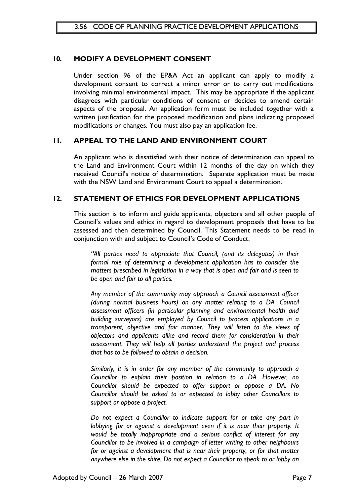#### **10. MODIFY A DEVELOPMENT CONSENT**

Under section 96 of the EP&A Act an applicant can apply to modify a development consent to correct a minor error or to carry out modifications involving minimal environmental impact. This may be appropriate if the applicant disagrees with particular conditions of consent or decides to amend certain aspects of the proposal. An application form must be included together with a written justification for the proposed modification and plans indicating proposed modifications or changes. You must also pay an application fee.

#### **11. APPEAL TO THE LAND AND ENVIRONMENT COURT**

An applicant who is dissatisfied with their notice of determination can appeal to the Land and Environment Court within 12 months of the day on which they received Council"s notice of determination. Separate application must be made with the NSW Land and Environment Court to appeal a determination.

#### **12. STATEMENT OF ETHICS FOR DEVELOPMENT APPLICATIONS**

This section is to inform and guide applicants, objectors and all other people of Council"s values and ethics in regard to development proposals that have to be assessed and then determined by Council. This Statement needs to be read in conjunction with and subject to Council"s Code of Conduct.

*"All parties need to appreciate that Council, (and its delegates) in their formal role of determining a development application has to consider the matters prescribed in legislation in a way that is open and fair and is seen to be open and fair to all parties.*

*Any member of the community may approach a Council assessment officer (during normal business hours) on any matter relating to a DA. Council assessment officers (in particular planning and environmental health and building surveyors) are employed by Council to process applications in a transparent, objective and fair manner. They will listen to the views of objectors and applicants alike and record them for consideration in their assessment. They will help all parties understand the project and process that has to be followed to obtain a decision.*

*Similarly, it is in order for any member of the community to approach a Councillor to explain their position in relation to a DA. However, no Councillor should be expected to offer support or oppose a DA. No Councillor should be asked to or expected to lobby other Councillors to support or oppose a project.*

*Do not expect a Councillor to indicate support for or take any part in lobbying for or against a development even if it is near their property. It would be totally inappropriate and a serious conflict of interest for any Councillor to be involved in a campaign of letter writing to other neighbours for or against a development that is near their property, or for that matter anywhere else in the shire. Do not expect a Councillor to speak to or lobby an*